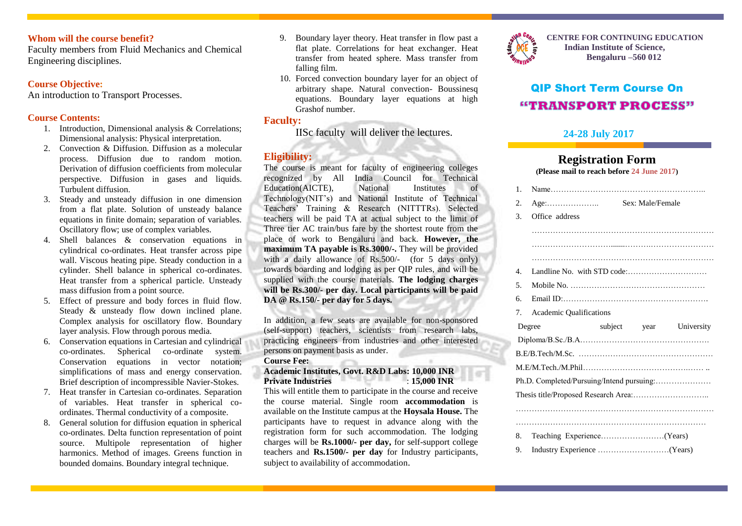## **Whom will the course benefit?**

Faculty members from Fluid Mechanics and Chemical Engineering disciplines.

## **Course Objective:**

An introduction to Transport Processes.

## **Course Contents:**

- 1. Introduction, Dimensional analysis & Correlations; Dimensional analysis: Physical interpretation.
- 2. Convection & Diffusion. Diffusion as a molecular process. Diffusion due to random motion. Derivation of diffusion coefficients from molecular perspective. Diffusion in gases and liquids. Turbulent diffusion.
- 3. Steady and unsteady diffusion in one dimension from a flat plate. Solution of unsteady balance equations in finite domain; separation of variables. Oscillatory flow; use of complex variables.
- 4. Shell balances & conservation equations in cylindrical co-ordinates. Heat transfer across pipe wall. Viscous heating pipe. Steady conduction in a cylinder. Shell balance in spherical co-ordinates. Heat transfer from a spherical particle. Unsteady mass diffusion from a point source.
- 5. Effect of pressure and body forces in fluid flow. Steady  $\&$  unsteady flow down inclined plane. Complex analysis for oscillatory flow. Boundary layer analysis. Flow through porous media.
- 6. Conservation equations in Cartesian and cylindrical co-ordinates. Spherical co-ordinate system. Conservation equations in vector notation; simplifications of mass and energy conservation. Brief description of incompressible Navier-Stokes.
- 7. Heat transfer in Cartesian co-ordinates. Separation of variables. Heat transfer in spherical coordinates. Thermal conductivity of a composite.
- 8. General solution for diffusion equation in spherical co-ordinates. Delta function representation of point source. Multipole representation of higher harmonics. Method of images. Greens function in bounded domains. Boundary integral technique.
- 9. Boundary layer theory. Heat transfer in flow past a flat plate. Correlations for heat exchanger. Heat transfer from heated sphere. Mass transfer from falling film.
- 10. Forced convection boundary layer for an object of arbitrary shape. Natural convection- Boussinesq equations. Boundary layer equations at high Grashof number.

## **Faculty:**

IISc faculty will deliver the lectures.

## **Eligibility:**

The course is meant for faculty of engineering colleges recognized by All India Council for Technical Education(AICTE), National Institutes of Technology(NIT's) and National Institute of Technical Teachers' Training & Research (NITTTRs). Selected teachers will be paid TA at actual subject to the limit of Three tier AC train/bus fare by the shortest route from the place of work to Bengaluru and back. **However, the maximum TA payable is Rs.3000/-.** They will be provided with a daily allowance of Rs.500/- (for 5 days only) towards boarding and lodging as per QIP rules, and will be supplied with the course materials. **The lodging charges will be Rs.300/- per day. Local participants will be paid DA @ Rs.150/- per day for 5 days.**

In addition, a few seats are available for non-sponsored (self-support) teachers, scientists from research labs, practicing engineers from industries and other interested persons on payment basis as under.

#### **Course Fee:**

**Academic Institutes, Govt. R&D Labs: 10,000 INR Private Industries** : **15,000 INR**

This will entitle them to participate in the course and receive the course material. Single room **accommodation** is available on the Institute campus at the **Hoysala House.** The participants have to request in advance along with the registration form for such accommodation. The lodging charges will be **Rs.1000/- per day,** for self-support college teachers and **Rs.1500/- per day** for Industry participants, subject to availability of accommodation.



**CENTRE FOR CONTINUING EDUCATION Indian Institute of Science, Bengaluru –560 012**

# QIP Short Term Course On "TRANSPORT PROCESS"

## **24-28 July 2017**

## **Registration Form**

**(Please mail to reach before 24 June 2017)**

| 2.          |                                           |         |      |            |
|-------------|-------------------------------------------|---------|------|------------|
| 3.          | Office address                            |         |      |            |
|             |                                           |         |      |            |
|             |                                           |         |      |            |
|             |                                           |         |      |            |
| $4_{\cdot}$ |                                           |         |      |            |
| .5          |                                           |         |      |            |
| б.          |                                           |         |      |            |
| 7.          | <b>Academic Qualifications</b>            |         |      |            |
|             | Degree                                    | subject | year | University |
|             |                                           |         |      |            |
|             |                                           |         |      |            |
|             |                                           |         |      |            |
|             |                                           |         |      |            |
|             | Ph.D. Completed/Pursuing/Intend pursuing: |         |      |            |
|             |                                           |         |      |            |
|             |                                           |         |      |            |
|             |                                           |         |      |            |
| 8.          |                                           |         |      |            |